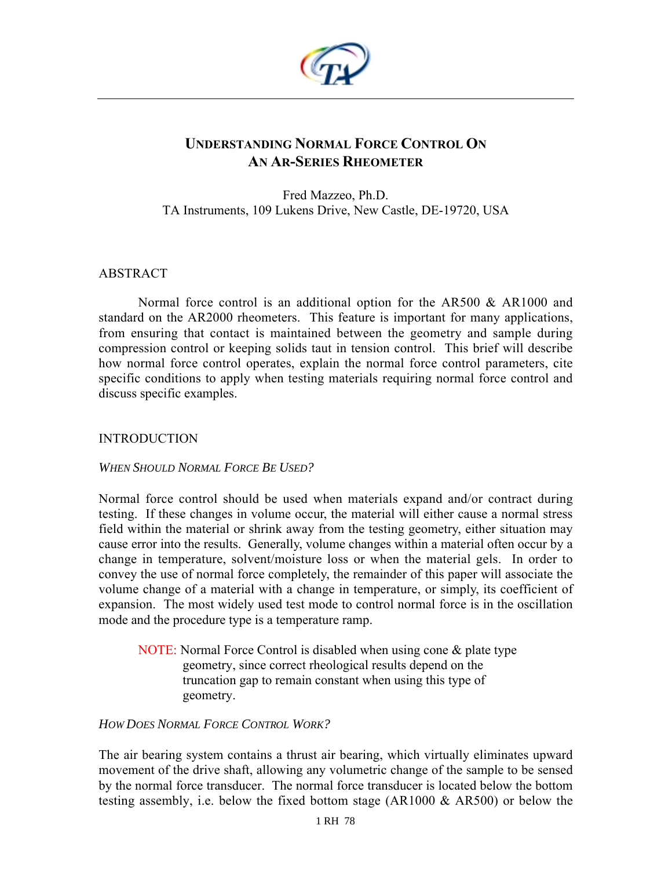

# **UNDERSTANDING NORMAL FORCE CONTROL ON AN AR-SERIES RHEOMETER**

Fred Mazzeo, Ph.D. TA Instruments, 109 Lukens Drive, New Castle, DE-19720, USA

### ABSTRACT

Normal force control is an additional option for the AR500 & AR1000 and standard on the AR2000 rheometers. This feature is important for many applications, from ensuring that contact is maintained between the geometry and sample during compression control or keeping solids taut in tension control. This brief will describe how normal force control operates, explain the normal force control parameters, cite specific conditions to apply when testing materials requiring normal force control and discuss specific examples.

### **INTRODUCTION**

#### *WHEN SHOULD NORMAL FORCE BE USED?*

Normal force control should be used when materials expand and/or contract during testing. If these changes in volume occur, the material will either cause a normal stress field within the material or shrink away from the testing geometry, either situation may cause error into the results. Generally, volume changes within a material often occur by a change in temperature, solvent/moisture loss or when the material gels. In order to convey the use of normal force completely, the remainder of this paper will associate the volume change of a material with a change in temperature, or simply, its coefficient of expansion. The most widely used test mode to control normal force is in the oscillation mode and the procedure type is a temperature ramp.

NOTE: Normal Force Control is disabled when using cone & plate type geometry, since correct rheological results depend on the truncation gap to remain constant when using this type of geometry.

### *HOW DOES NORMAL FORCE CONTROL WORK?*

The air bearing system contains a thrust air bearing, which virtually eliminates upward movement of the drive shaft, allowing any volumetric change of the sample to be sensed by the normal force transducer. The normal force transducer is located below the bottom testing assembly, i.e. below the fixed bottom stage (AR1000 & AR500) or below the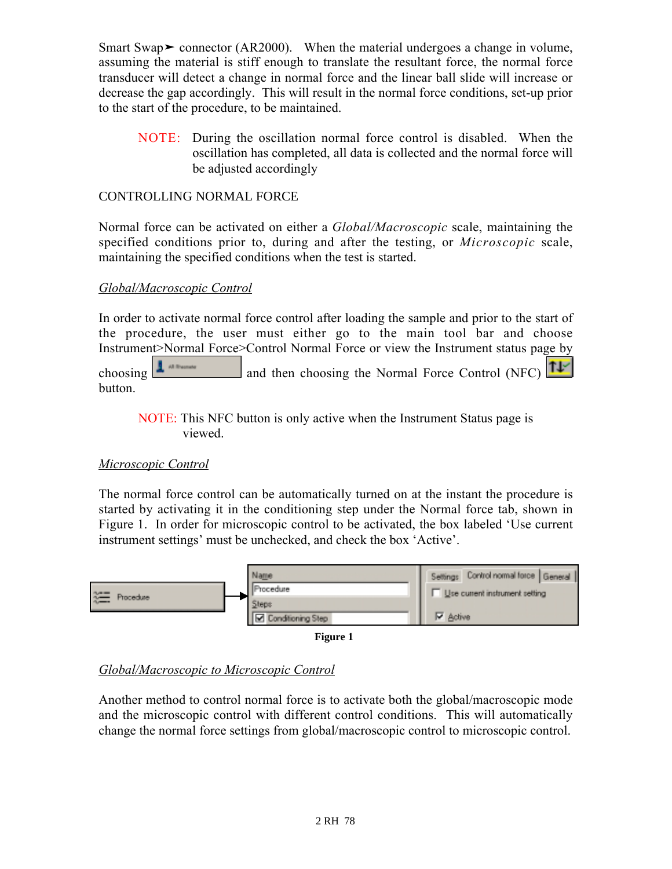Smart Swap  $\triangleright$  connector (AR2000). When the material undergoes a change in volume, assuming the material is stiff enough to translate the resultant force, the normal force transducer will detect a change in normal force and the linear ball slide will increase or decrease the gap accordingly. This will result in the normal force conditions, set-up prior to the start of the procedure, to be maintained.

NOTE: During the oscillation normal force control is disabled. When the oscillation has completed, all data is collected and the normal force will be adjusted accordingly

## CONTROLLING NORMAL FORCE

Normal force can be activated on either a *Global/Macroscopic* scale, maintaining the specified conditions prior to, during and after the testing, or *Microscopic* scale, maintaining the specified conditions when the test is started.

## *Global/Macroscopic Control*

In order to activate normal force control after loading the sample and prior to the start of the procedure, the user must either go to the main tool bar and choose Instrument>Normal Force>Control Normal Force or view the Instrument status page by choosing  $\frac{1}{\sqrt{1-\frac{1}{\sqrt{1-\frac{1}{\sqrt{1-\frac{1}{\sqrt{1-\frac{1}{\sqrt{1-\frac{1}{\sqrt{1-\frac{1}{\sqrt{1-\frac{1}{\sqrt{1-\frac{1}{\sqrt{1-\frac{1}{\sqrt{1-\frac{1}{\sqrt{1-\frac{1}{\sqrt{1-\frac{1}{\sqrt{1-\frac{1}{\sqrt{1-\frac{1}{\sqrt{1-\frac{1}{\sqrt{1-\frac{1}{\sqrt{1-\frac{1}{\sqrt{1-\frac{1}{\sqrt{1-\frac{1}{\sqrt{1-\frac{1}{\sqrt{1-\frac{1}{\sqrt{1-\frac{1}{\sqrt{1-\frac{1$ button.

NOTE: This NFC button is only active when the Instrument Status page is viewed.

## *Microscopic Control*

The normal force control can be automatically turned on at the instant the procedure is started by activating it in the conditioning step under the Normal force tab, shown in Figure 1. In order for microscopic control to be activated, the box labeled 'Use current instrument settings' must be unchecked, and check the box 'Active'.





## *Global/Macroscopic to Microscopic Control*

Another method to control normal force is to activate both the global/macroscopic mode and the microscopic control with different control conditions. This will automatically change the normal force settings from global/macroscopic control to microscopic control.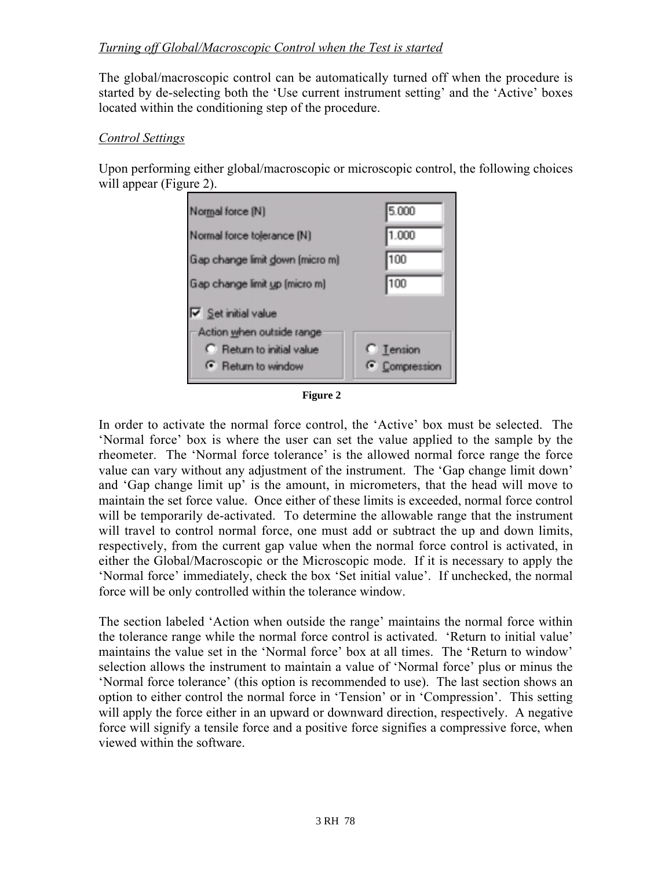## *Turning off Global/Macroscopic Control when the Test is started*

The global/macroscopic control can be automatically turned off when the procedure is started by de-selecting both the 'Use current instrument setting' and the 'Active' boxes located within the conditioning step of the procedure.

### *Control Settings*

Upon performing either global/macroscopic or microscopic control, the following choices will appear (Figure 2).



**Figure 2**

In order to activate the normal force control, the 'Active' box must be selected. The 'Normal force' box is where the user can set the value applied to the sample by the rheometer. The 'Normal force tolerance' is the allowed normal force range the force value can vary without any adjustment of the instrument. The 'Gap change limit down' and 'Gap change limit up' is the amount, in micrometers, that the head will move to maintain the set force value. Once either of these limits is exceeded, normal force control will be temporarily de-activated. To determine the allowable range that the instrument will travel to control normal force, one must add or subtract the up and down limits, respectively, from the current gap value when the normal force control is activated, in either the Global/Macroscopic or the Microscopic mode. If it is necessary to apply the 'Normal force' immediately, check the box 'Set initial value'. If unchecked, the normal force will be only controlled within the tolerance window.

The section labeled 'Action when outside the range' maintains the normal force within the tolerance range while the normal force control is activated. 'Return to initial value' maintains the value set in the 'Normal force' box at all times. The 'Return to window' selection allows the instrument to maintain a value of 'Normal force' plus or minus the 'Normal force tolerance' (this option is recommended to use). The last section shows an option to either control the normal force in 'Tension' or in 'Compression'. This setting will apply the force either in an upward or downward direction, respectively. A negative force will signify a tensile force and a positive force signifies a compressive force, when viewed within the software.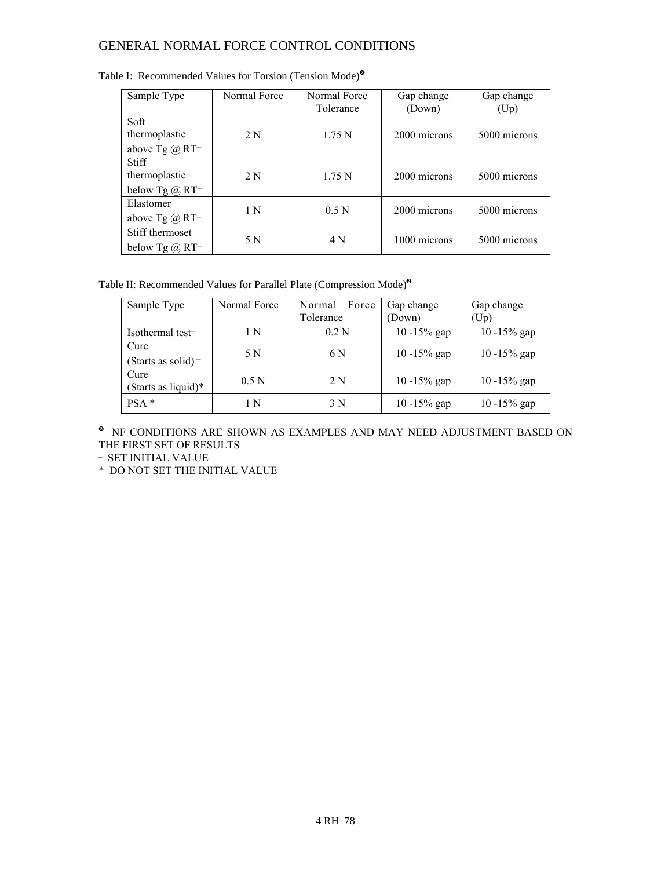## GENERAL NORMAL FORCE CONTROL CONDITIONS

| Sample Type                                       | Normal Force | Normal Force<br>Tolerance | Gap change<br>(Down) | Gap change<br>(Up) |
|---------------------------------------------------|--------------|---------------------------|----------------------|--------------------|
| Soft<br>thermoplastic<br>above Tg $@$ RT-         | 2N           | 1.75 <sub>N</sub>         | 2000 microns         | 5000 microns       |
| <b>Stiff</b><br>thermoplastic<br>below Tg $@$ RT- | 2N           | 1.75 N                    | 2000 microns         | 5000 microns       |
| Elastomer<br>above Tg $\omega$ RT-                | 1 N          | 0.5 <sub>N</sub>          | 2000 microns         | 5000 microns       |
| Stiff thermoset<br>below Tg $@$ RT <sup>-1</sup>  | 5 N          | 4 N                       | 1000 microns         | 5000 microns       |

|  | Table I: Recommended Values for Torsion (Tension Mode) <sup>®</sup> |  |  |  |  |
|--|---------------------------------------------------------------------|--|--|--|--|
|--|---------------------------------------------------------------------|--|--|--|--|

Table II: Recommended Values for Parallel Plate (Compression Mode)<sup>❷</sup>

| Sample Type                 | Normal Force     | Force<br>Normal | Gap change      | Gap change      |  |
|-----------------------------|------------------|-----------------|-----------------|-----------------|--|
|                             |                  | Tolerance       | (Down)          | (Up)            |  |
| Isothermal test-            | l N              | 0.2N            | $10 - 15\%$ gap | $10 - 15\%$ gap |  |
| Cure                        | 5 N              | 6 N             | $10 - 15\%$ gap | $10 - 15\%$ gap |  |
| (Starts as solid) $-$       |                  |                 |                 |                 |  |
| Cure<br>(Starts as liquid)* | 0.5 <sub>N</sub> | 2 N             | $10 - 15\%$ gap | $10 - 15\%$ gap |  |
| $PSA*$                      | - N              | 3 N             | 10 -15% gap     | $10 - 15\%$ gap |  |

 $\,^{\bullet}\,$  NF CONDITIONS ARE SHOWN AS EXAMPLES AND MAY NEED ADJUSTMENT BASED ON THE FIRST SET OF RESULTS

- SET INITIAL VALUE

\* DO NOT SET THE INITIAL VALUE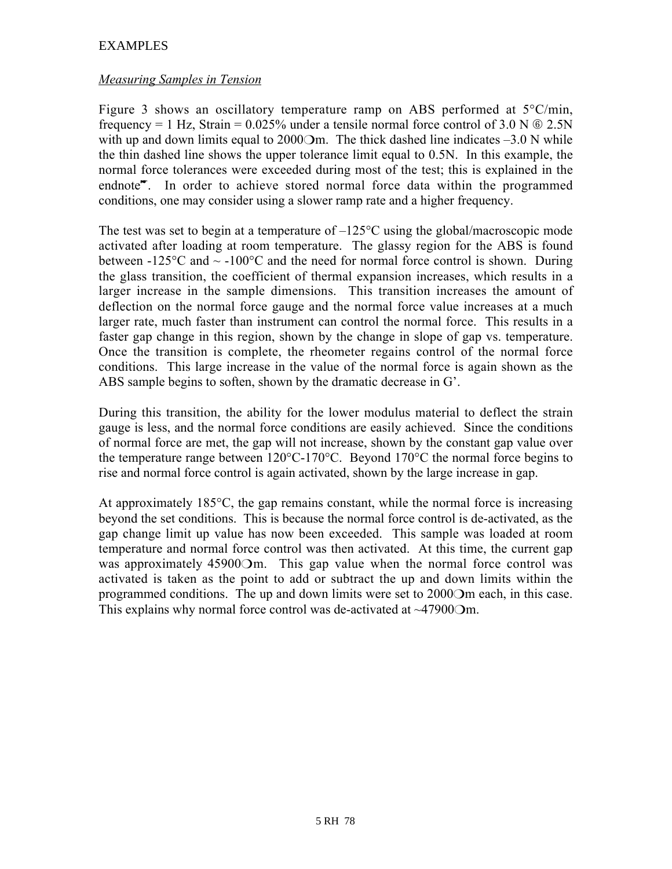## EXAMPLES

### *Measuring Samples in Tension*

Figure 3 shows an oscillatory temperature ramp on ABS performed at  $5^{\circ}$ C/min, frequency = 1 Hz, Strain =  $0.025\%$  under a tensile normal force control of 3.0 N  $\odot$  2.5N with up and down limits equal to  $2000\text{Om}$ . The thick dashed line indicates  $-3.0$  N while the thin dashed line shows the upper tolerance limit equal to 0.5N. In this example, the normal force tolerances were exceeded during most of the test; this is explained in the endnote<sup>\*</sup>. In order to achieve stored normal force data within the programmed conditions, one may consider using a slower ramp rate and a higher frequency.

The test was set to begin at a temperature of  $-125^{\circ}$ C using the global/macroscopic mode activated after loading at room temperature. The glassy region for the ABS is found between -125 $\degree$ C and  $\sim$  -100 $\degree$ C and the need for normal force control is shown. During the glass transition, the coefficient of thermal expansion increases, which results in a larger increase in the sample dimensions. This transition increases the amount of deflection on the normal force gauge and the normal force value increases at a much larger rate, much faster than instrument can control the normal force. This results in a faster gap change in this region, shown by the change in slope of gap vs. temperature. Once the transition is complete, the rheometer regains control of the normal force conditions. This large increase in the value of the normal force is again shown as the ABS sample begins to soften, shown by the dramatic decrease in G'.

During this transition, the ability for the lower modulus material to deflect the strain gauge is less, and the normal force conditions are easily achieved. Since the conditions of normal force are met, the gap will not increase, shown by the constant gap value over the temperature range between 120°C-170°C. Beyond 170°C the normal force begins to rise and normal force control is again activated, shown by the large increase in gap.

At approximately 185°C, the gap remains constant, while the normal force is increasing beyond the set conditions. This is because the normal force control is de-activated, as the gap change limit up value has now been exceeded. This sample was loaded at room temperature and normal force control was then activated. At this time, the current gap was approximately 45900Om. This gap value when the normal force control was activated is taken as the point to add or subtract the up and down limits within the programmed conditions. The up and down limits were set to 2000❍m each, in this case. This explains why normal force control was de-activated at ~47900Om.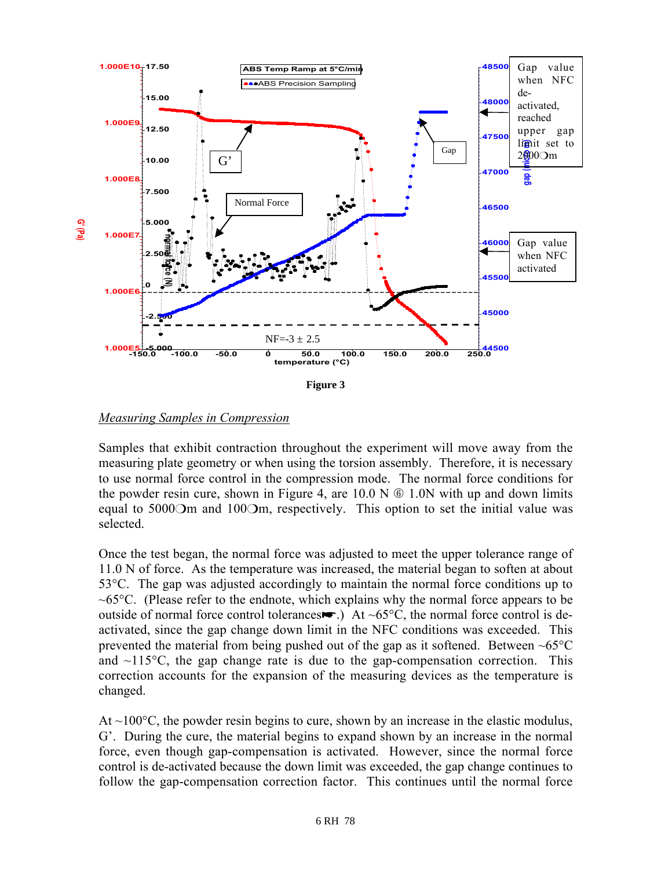

**Figure 3**

#### *Measuring Samples in Compression*

Samples that exhibit contraction throughout the experiment will move away from the measuring plate geometry or when using the torsion assembly. Therefore, it is necessary to use normal force control in the compression mode. The normal force conditions for the powder resin cure, shown in Figure 4, are  $10.0 \text{ N} \odot 1.0 \text{ N}$  with up and down limits equal to 5000 $O$ m and 100 $O$ m, respectively. This option to set the initial value was selected.

Once the test began, the normal force was adjusted to meet the upper tolerance range of 11.0 N of force. As the temperature was increased, the material began to soften at about 53°C. The gap was adjusted accordingly to maintain the normal force conditions up to  $\sim 65^{\circ}$ C. (Please refer to the endnote, which explains why the normal force appears to be outside of normal force control tolerances $\blacktriangleright$ .) At ~65°C, the normal force control is deactivated, since the gap change down limit in the NFC conditions was exceeded. This prevented the material from being pushed out of the gap as it softened. Between  $\sim 65^{\circ}$ C and  $\sim$ 115 $\degree$ C, the gap change rate is due to the gap-compensation correction. This correction accounts for the expansion of the measuring devices as the temperature is changed.

At  $\sim$ 100 $\degree$ C, the powder resin begins to cure, shown by an increase in the elastic modulus, G'. During the cure, the material begins to expand shown by an increase in the normal force, even though gap-compensation is activated. However, since the normal force control is de-activated because the down limit was exceeded, the gap change continues to follow the gap-compensation correction factor. This continues until the normal force